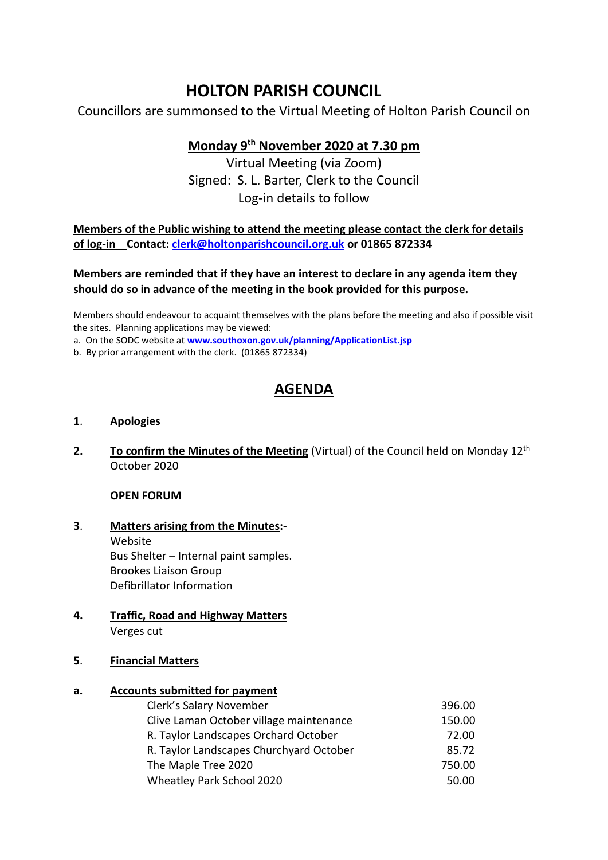# **HOLTON PARISH COUNCIL**

Councillors are summonsed to the Virtual Meeting of Holton Parish Council on

## **Monday 9 th November 2020 at 7.30 pm**

Virtual Meeting (via Zoom) Signed: S. L. Barter, Clerk to the Council Log-in details to follow

**Members of the Public wishing to attend the meeting please contact the clerk for details of log-in Contact: [clerk@holtonparishcouncil.org.uk](mailto:clerk@holtonparishcouncil.org.uk) or 01865 872334**

### **Members are reminded that if they have an interest to declare in any agenda item they should do so in advance of the meeting in the book provided for this purpose.**

Members should endeavour to acquaint themselves with the plans before the meeting and also if possible visit the sites. Planning applications may be viewed:

a. On the SODC website at **[www.southoxon.gov.uk/planning/ApplicationList.jsp](http://www.southoxon.gov.uk/planning/ApplicationList.jsp)**

b. By prior arrangement with the clerk. (01865 872334)

## **AGENDA**

### **1**. **Apologies**

2. To confirm the Minutes of the Meeting (Virtual) of the Council held on Monday 12<sup>th</sup> October 2020

#### **OPEN FORUM**

- **3**. **Matters arising from the Minutes:-** Website Bus Shelter – Internal paint samples. Brookes Liaison Group Defibrillator Information
- **4. Traffic, Road and Highway Matters** Verges cut
- **5**. **Financial Matters**

## **a. Accounts submitted for payment**

| Clerk's Salary November                 | 396.00 |
|-----------------------------------------|--------|
| Clive Laman October village maintenance | 150.00 |
| R. Taylor Landscapes Orchard October    | 72.00  |
| R. Taylor Landscapes Churchyard October | 85.72  |
| The Maple Tree 2020                     | 750.00 |
| Wheatley Park School 2020               | 50.00  |
|                                         |        |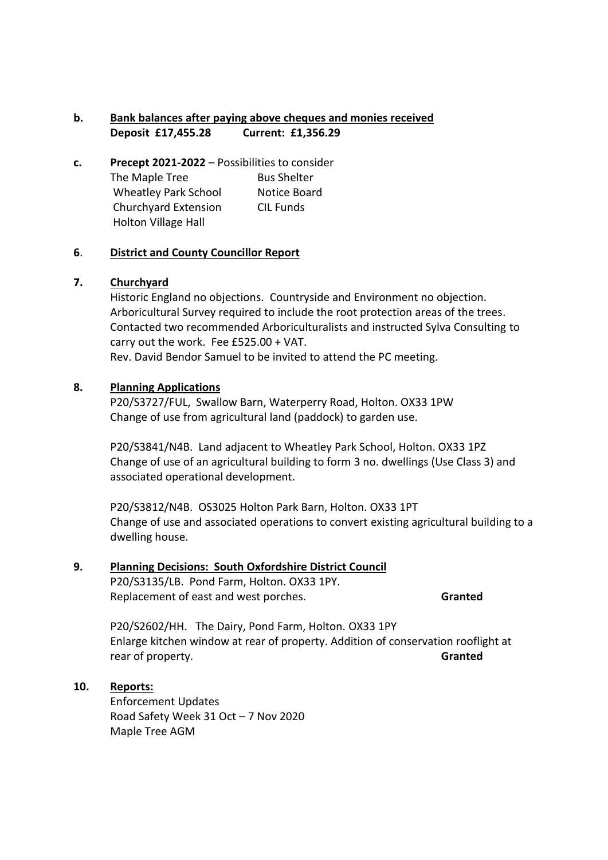## **b. Bank balances after paying above cheques and monies received Deposit £17,455.28 Current: £1,356.29**

**c. Precept 2021-2022** – Possibilities to consider The Maple Tree Bus Shelter Wheatley Park School Notice Board Churchyard Extension CIL Funds Holton Village Hall

### **6**. **District and County Councillor Report**

#### **7. Churchyard**

Historic England no objections. Countryside and Environment no objection. Arboricultural Survey required to include the root protection areas of the trees. Contacted two recommended Arboriculturalists and instructed Sylva Consulting to carry out the work. Fee £525.00 + VAT. Rev. David Bendor Samuel to be invited to attend the PC meeting.

#### **8. Planning Applications**

P20/S3727/FUL, Swallow Barn, Waterperry Road, Holton. OX33 1PW Change of use from agricultural land (paddock) to garden use.

P20/S3841/N4B. Land adjacent to Wheatley Park School, Holton. OX33 1PZ Change of use of an agricultural building to form 3 no. dwellings (Use Class 3) and associated operational development.

P20/S3812/N4B. OS3025 Holton Park Barn, Holton. OX33 1PT Change of use and associated operations to convert existing agricultural building to a dwelling house.

## **9. Planning Decisions: South Oxfordshire District Council**

P20/S3135/LB. Pond Farm, Holton. OX33 1PY. Replacement of east and west porches. **Granted**

P20/S2602/HH. The Dairy, Pond Farm, Holton. OX33 1PY Enlarge kitchen window at rear of property. Addition of conservation rooflight at rear of property. **Granted**

## **10. Reports:**

Enforcement Updates Road Safety Week 31 Oct – 7 Nov 2020 Maple Tree AGM